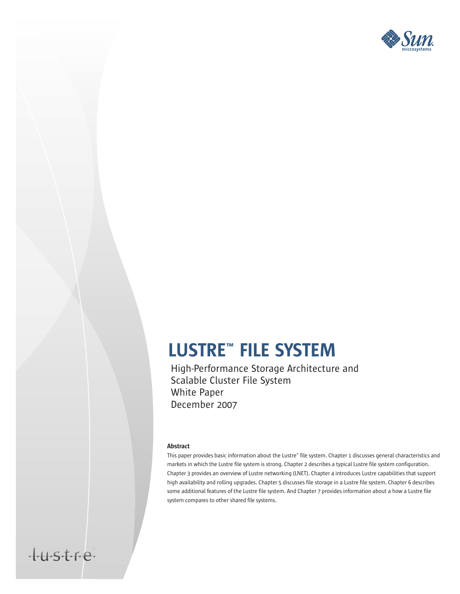

# LUSTRE™ FILE SYSTEM

High-Performance Storage Architecture and Scalable Cluster File System White Paper December 2007

#### Abstract

tustre

This paper provides basic information about the Lustre™ file system. Chapter 1 discusses general characteristics and markets in which the Lustre file system is strong. Chapter 2 describes a typical Lustre file system configuration. Chapter 3 provides an overview of Lustre networking (LNET). Chapter 4 introduces Lustre capabilities that support high availability and rolling upgrades. Chapter 5 discusses file storage in a Lustre file system. Chapter 6 describes some additional features of the Lustre file system. And Chapter 7 provides information about a how a Lustre file system compares to other shared file systems.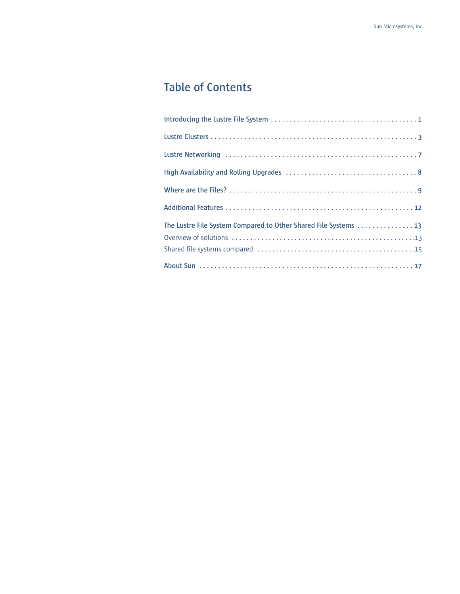## **Table of Contents**

| The Lustre File System Compared to Other Shared File Systems 13 |
|-----------------------------------------------------------------|
|                                                                 |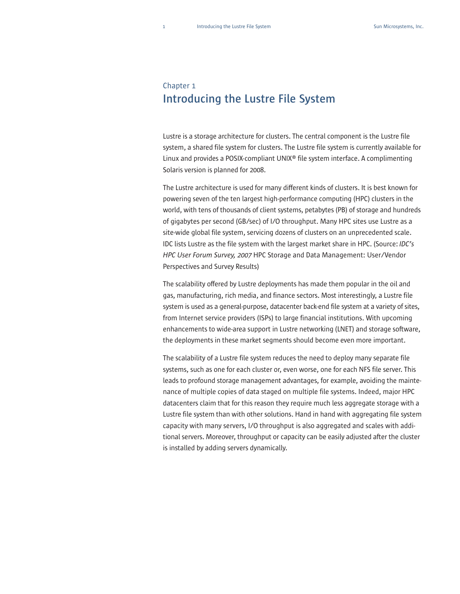#### Chapter 1 **Introducing the Lustre File System**

Lustre is a storage architecture for clusters. The central component is the Lustre file system, a shared file system for clusters. The Lustre file system is currently available for Linux and provides a POSIX-compliant UNIX® file system interface. A complimenting Solaris version is planned for 2008.

The Lustre architecture is used for many different kinds of clusters. It is best known for powering seven of the ten largest high-performance computing (HPC) clusters in the world, with tens of thousands of client systems, petabytes (PB) of storage and hundreds of gigabytes per second (GB/sec) of I/O throughput. Many HPC sites use Lustre as a site-wide global file system, servicing dozens of clusters on an unprecedented scale. IDC lists Lustre as the file system with the largest market share in HPC. (Source: *IDC's HPC User Forum Survey, 2007* HPC Storage and Data Management: User/Vendor Perspectives and Survey Results)

The scalability offered by Lustre deployments has made them popular in the oil and gas, manufacturing, rich media, and finance sectors. Most interestingly, a Lustre file system is used as a general-purpose, datacenter back-end file system at a variety of sites, from Internet service providers (ISPs) to large financial institutions. With upcoming enhancements to wide-area support in Lustre networking (LNET) and storage software, the deployments in these market segments should become even more important.

The scalability of a Lustre file system reduces the need to deploy many separate file systems, such as one for each cluster or, even worse, one for each NFS file server. This leads to profound storage management advantages, for example, avoiding the maintenance of multiple copies of data staged on multiple file systems. Indeed, major HPC datacenters claim that for this reason they require much less aggregate storage with a Lustre file system than with other solutions. Hand in hand with aggregating file system capacity with many servers, I/O throughput is also aggregated and scales with additional servers. Moreover, throughput or capacity can be easily adjusted after the cluster is installed by adding servers dynamically.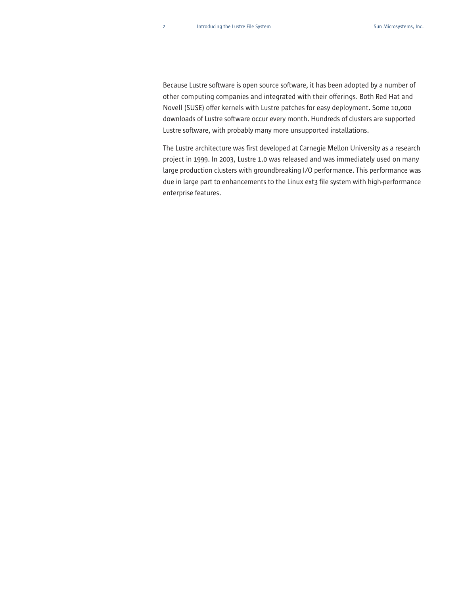Because Lustre software is open source software, it has been adopted by a number of other computing companies and integrated with their offerings. Both Red Hat and Novell (SUSE) offer kernels with Lustre patches for easy deployment. Some 10,000 downloads of Lustre software occur every month. Hundreds of clusters are supported Lustre software, with probably many more unsupported installations.

The Lustre architecture was first developed at Carnegie Mellon University as a research project in 1999. In 2003, Lustre 1.0 was released and was immediately used on many large production clusters with groundbreaking I/O performance. This performance was due in large part to enhancements to the Linux ext3 file system with high-performance enterprise features.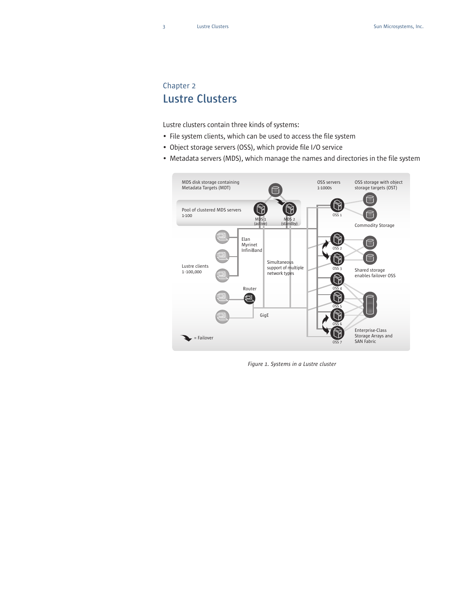### Chapter 2 **Lustre Clusters**

Lustre clusters contain three kinds of systems:

- File system clients, which can be used to access the file system
- Object storage servers (OSS), which provide file I/O service
- Metadata servers (MDS), which manage the names and directories in the file system



*Figure 1. Systems in a Lustre cluster*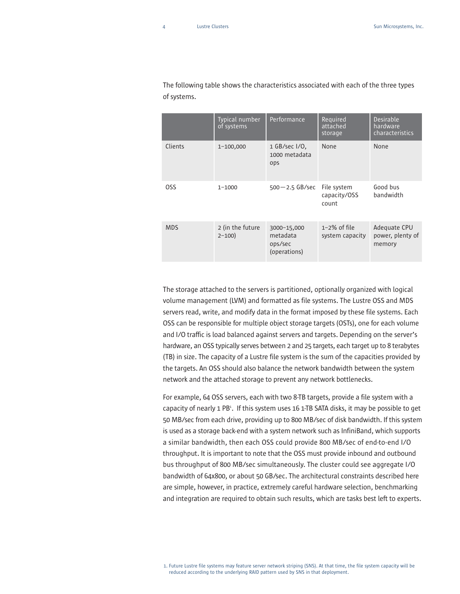|            | Typical number<br>of systems  | Performance                                        | Required<br>attached<br>storage      | <b>Desirable</b><br>hardware<br>characteristics |
|------------|-------------------------------|----------------------------------------------------|--------------------------------------|-------------------------------------------------|
| Clients    | 1-100,000                     | 1 GB/sec I/O,<br>1000 metadata<br>ops              | None                                 | None                                            |
| <b>OSS</b> | $1 - 1000$                    | $500 - 2.5$ GB/sec                                 | File system<br>capacity/OSS<br>count | Good bus<br>bandwidth                           |
| <b>MDS</b> | 2 (in the future<br>$2 - 100$ | 3000-15,000<br>metadata<br>ops/sec<br>(operations) | $1-2\%$ of file<br>system capacity   | Adequate CPU<br>power, plenty of<br>memory      |

The following table shows the characteristics associated with each of the three types of systems.

The storage attached to the servers is partitioned, optionally organized with logical volume management (LVM) and formatted as file systems. The Lustre OSS and MDS servers read, write, and modify data in the format imposed by these file systems. Each OSS can be responsible for multiple object storage targets (OSTs), one for each volume and I/O traffic is load balanced against servers and targets. Depending on the server's hardware, an OSS typically serves between 2 and 25 targets, each target up to 8 terabytes (TB) in size. The capacity of a Lustre file system is the sum of the capacities provided by the targets. An OSS should also balance the network bandwidth between the system network and the attached storage to prevent any network bottlenecks.

For example, 64 OSS servers, each with two 8-TB targets, provide a file system with a capacity of nearly 1 PB<sup>1</sup>. If this system uses 16 1-TB SATA disks, it may be possible to get 50 MB/sec from each drive, providing up to 800 MB/sec of disk bandwidth. If this system is used as a storage back-end with a system network such as InfiniBand, which supports a similar bandwidth, then each OSS could provide 800 MB/sec of end-to-end I/O throughput. It is important to note that the OSS must provide inbound and outbound bus throughput of 800 MB/sec simultaneously. The cluster could see aggregate I/O bandwidth of 64x800, or about 50 GB/sec. The architectural constraints described here are simple, however, in practice, extremely careful hardware selection, benchmarking and integration are required to obtain such results, which are tasks best left to experts.

<sup>1.</sup> Future Lustre file systems may feature server network striping (SNS). At that time, the file system capacity will be reduced according to the underlying RAID pattern used by SNS in that deployment.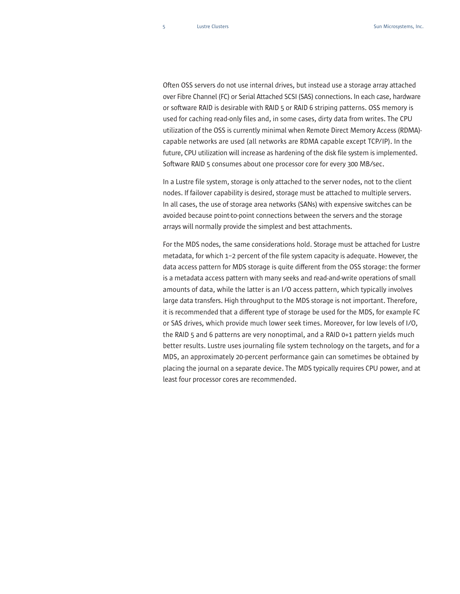Often OSS servers do not use internal drives, but instead use a storage array attached over Fibre Channel (FC) or Serial Attached SCSI (SAS) connections. In each case, hardware or software RAID is desirable with RAID 5 or RAID 6 striping patterns. OSS memory is used for caching read-only files and, in some cases, dirty data from writes. The CPU utilization of the OSS is currently minimal when Remote Direct Memory Access (RDMA) capable networks are used (all networks are RDMA capable except TCP/IP). In the future, CPU utilization will increase as hardening of the disk file system is implemented. Software RAID 5 consumes about one processor core for every 300 MB/sec.

In a Lustre file system, storage is only attached to the server nodes, not to the client nodes. If failover capability is desired, storage must be attached to multiple servers. In all cases, the use of storage area networks (SANs) with expensive switches can be avoided because point-to-point connections between the servers and the storage arrays will normally provide the simplest and best attachments.

For the MDS nodes, the same considerations hold. Storage must be attached for Lustre metadata, for which 1–2 percent of the file system capacity is adequate. However, the data access pattern for MDS storage is quite different from the OSS storage: the former is a metadata access pattern with many seeks and read-and-write operations of small amounts of data, while the latter is an I/O access pattern, which typically involves large data transfers. High throughput to the MDS storage is not important. Therefore, it is recommended that a different type of storage be used for the MDS, for example FC or SAS drives, which provide much lower seek times. Moreover, for low levels of I/O, the RAID 5 and 6 patterns are very nonoptimal, and a RAID 0+1 pattern yields much better results. Lustre uses journaling file system technology on the targets, and for a MDS, an approximately 20-percent performance gain can sometimes be obtained by placing the journal on a separate device. The MDS typically requires CPU power, and at least four processor cores are recommended.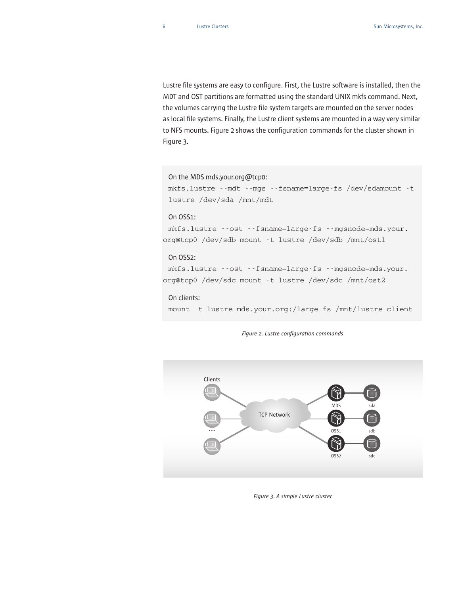Lustre file systems are easy to configure. First, the Lustre software is installed, then the MDT and OST partitions are formatted using the standard UNIX mkfs command. Next, the volumes carrying the Lustre file system targets are mounted on the server nodes as local file systems. Finally, the Lustre client systems are mounted in a way very similar to NFS mounts. Figure 2 shows the configuration commands for the cluster shown in Figure 3.

```
On the MDS mds.your.org@tcp0:
```
mkfs.lustre --mdt --mgs --fsname=large-fs /dev/sdamount -t lustre /dev/sda /mnt/mdt

#### On OSS1:

mkfs.lustre --ost --fsname=large-fs --mgsnode=mds.your. org@tcp0 /dev/sdb mount -t lustre /dev/sdb /mnt/ost1

#### On OSS2:

mkfs.lustre --ost --fsname=large-fs --mgsnode=mds.your. org@tcp0 /dev/sdc mount -t lustre /dev/sdc /mnt/ost2

On clients:

mount -t lustre mds.your.org:/large-fs /mnt/lustre-client



*Figure 2. Lustre configuration commands*

*Figure 3. A simple Lustre cluster*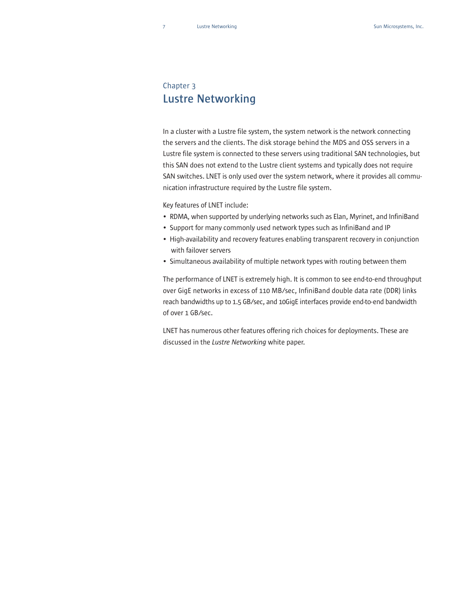### Chapter 3 **Lustre Networking**

In a cluster with a Lustre file system, the system network is the network connecting the servers and the clients. The disk storage behind the MDS and OSS servers in a Lustre file system is connected to these servers using traditional SAN technologies, but this SAN does not extend to the Lustre client systems and typically does not require SAN switches. LNET is only used over the system network, where it provides all communication infrastructure required by the Lustre file system.

Key features of LNET include:

- RDMA, when supported by underlying networks such as Elan, Myrinet, and InfiniBand
- Support for many commonly used network types such as InfiniBand and IP
- High-availability and recovery features enabling transparent recovery in conjunction with failover servers
- Simultaneous availability of multiple network types with routing between them

The performance of LNET is extremely high. It is common to see end-to-end throughput over GigE networks in excess of 110 MB/sec, InfiniBand double data rate (DDR) links reach bandwidths up to 1.5 GB/sec, and 10GigE interfaces provide end-to-end bandwidth of over 1 GB/sec.

LNET has numerous other features offering rich choices for deployments. These are discussed in the *Lustre Networking* white paper.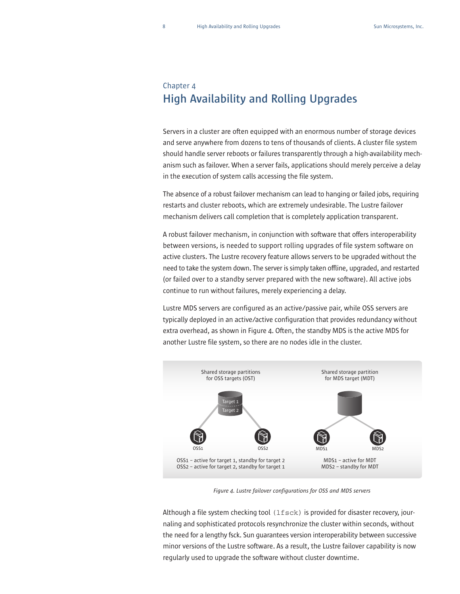### Chapter 4 **High Availability and Rolling Upgrades**

Servers in a cluster are often equipped with an enormous number of storage devices and serve anywhere from dozens to tens of thousands of clients. A cluster file system should handle server reboots or failures transparently through a high-availability mechanism such as failover. When a server fails, applications should merely perceive a delay in the execution of system calls accessing the file system.

The absence of a robust failover mechanism can lead to hanging or failed jobs, requiring restarts and cluster reboots, which are extremely undesirable. The Lustre failover mechanism delivers call completion that is completely application transparent.

A robust failover mechanism, in conjunction with software that offers interoperability between versions, is needed to support rolling upgrades of file system software on active clusters. The Lustre recovery feature allows servers to be upgraded without the need to take the system down. The server is simply taken offline, upgraded, and restarted (or failed over to a standby server prepared with the new software). All active jobs continue to run without failures, merely experiencing a delay.

Lustre MDS servers are configured as an active/passive pair, while OSS servers are typically deployed in an active/active configuration that provides redundancy without extra overhead, as shown in Figure 4. Often, the standby MDS is the active MDS for another Lustre file system, so there are no nodes idle in the cluster.



*Figure 4. Lustre failover configurations for OSS and MDS servers*

Although a file system checking tool  $(1fsck)$  is provided for disaster recovery, journaling and sophisticated protocols resynchronize the cluster within seconds, without the need for a lengthy fsck. Sun guarantees version interoperability between successive minor versions of the Lustre software. As a result, the Lustre failover capability is now regularly used to upgrade the software without cluster downtime.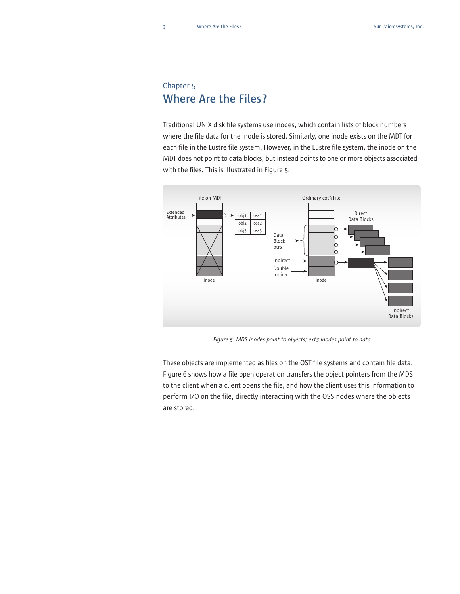### Chapter 5 **Where Are the Files?**

Traditional UNIX disk file systems use inodes, which contain lists of block numbers where the file data for the inode is stored. Similarly, one inode exists on the MDT for each file in the Lustre file system. However, in the Lustre file system, the inode on the MDT does not point to data blocks, but instead points to one or more objects associated with the files. This is illustrated in Figure 5.



*Figure 5. MDS inodes point to objects; ext3 inodes point to data*

These objects are implemented as files on the OST file systems and contain file data. Figure 6 shows how a file open operation transfers the object pointers from the MDS to the client when a client opens the file, and how the client uses this information to perform I/O on the file, directly interacting with the OSS nodes where the objects are stored.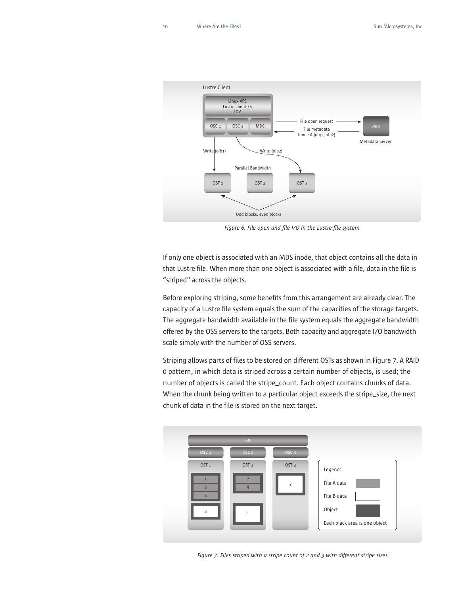

*Figure 6. File open and file I/O in the Lustre file system*

If only one object is associated with an MDS inode, that object contains all the data in that Lustre file. When more than one object is associated with a file, data in the file is "striped" across the objects.

Before exploring striping, some benefits from this arrangement are already clear. The capacity of a Lustre file system equals the sum of the capacities of the storage targets. The aggregate bandwidth available in the file system equals the aggregate bandwidth offered by the OSS servers to the targets. Both capacity and aggregate I/O bandwidth scale simply with the number of OSS servers.

Striping allows parts of files to be stored on different OSTs as shown in Figure 7. A RAID 0 pattern, in which data is striped across a certain number of objects, is used; the number of objects is called the stripe\_count. Each object contains chunks of data. When the chunk being written to a particular object exceeds the stripe\_size, the next chunk of data in the file is stored on the next target.



*Figure 7. Files striped with a stripe count of 2 and 3 with different stripe sizes*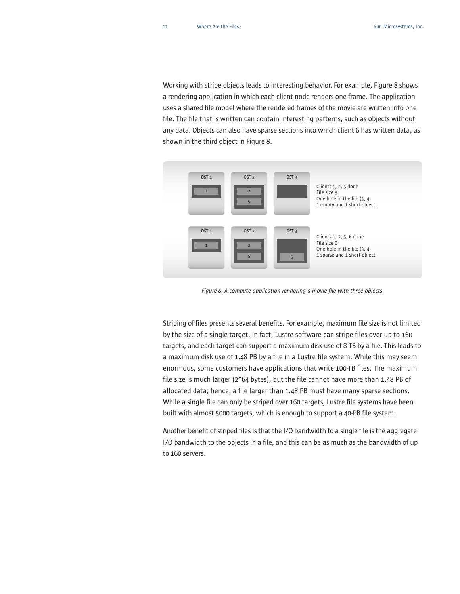Working with stripe objects leads to interesting behavior. For example, Figure 8 shows a rendering application in which each client node renders one frame. The application uses a shared file model where the rendered frames of the movie are written into one file. The file that is written can contain interesting patterns, such as objects without any data. Objects can also have sparse sections into which client 6 has written data, as shown in the third object in Figure 8.



*Figure 8. A compute application rendering a movie file with three objects*

Striping of files presents several benefits. For example, maximum file size is not limited by the size of a single target. In fact, Lustre software can stripe files over up to 160 targets, and each target can support a maximum disk use of 8 TB by a file. This leads to a maximum disk use of 1.48 PB by a file in a Lustre file system. While this may seem enormous, some customers have applications that write 100-TB files. The maximum file size is much larger (2^64 bytes), but the file cannot have more than 1.48 PB of allocated data; hence, a file larger than 1.48 PB must have many sparse sections. While a single file can only be striped over 160 targets, Lustre file systems have been built with almost 5000 targets, which is enough to support a 40-PB file system.

Another benefit of striped files is that the I/O bandwidth to a single file is the aggregate I/O bandwidth to the objects in a file, and this can be as much as the bandwidth of up to 160 servers.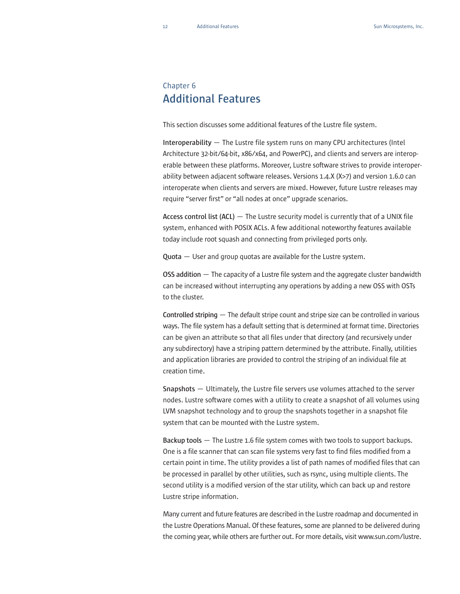#### Chapter 6 **Additional Features**

This section discusses some additional features of the Lustre file system.

**Interoperability** — The Lustre file system runs on many CPU architectures (Intel Architecture 32-bit/64-bit, x86/x64, and PowerPC), and clients and servers are interoperable between these platforms. Moreover, Lustre software strives to provide interoperability between adjacent software releases. Versions 1.4.X (X>7) and version 1.6.0 can interoperate when clients and servers are mixed. However, future Lustre releases may require "server first" or "all nodes at once" upgrade scenarios.

**Access control list (ACL)** — The Lustre security model is currently that of a UNIX file system, enhanced with POSIX ACLs. A few additional noteworthy features available today include root squash and connecting from privileged ports only.

**Quota** — User and group quotas are available for the Lustre system.

**OSS addition** — The capacity of a Lustre file system and the aggregate cluster bandwidth can be increased without interrupting any operations by adding a new OSS with OSTs to the cluster.

**Controlled striping**— The default stripe count and stripe size can be controlled in various ways. The file system has a default setting that is determined at format time. Directories can be given an attribute so that all files under that directory (and recursively under any subdirectory) have a striping pattern determined by the attribute. Finally, utilities and application libraries are provided to control the striping of an individual file at creation time.

**Snapshots** — Ultimately, the Lustre file servers use volumes attached to the server nodes. Lustre software comes with a utility to create a snapshot of all volumes using LVM snapshot technology and to group the snapshots together in a snapshot file system that can be mounted with the Lustre system.

**Backup tools** — The Lustre 1.6 file system comes with two tools to support backups. One is a file scanner that can scan file systems very fast to find files modified from a certain point in time. The utility provides a list of path names of modified files that can be processed in parallel by other utilities, such as rsync, using multiple clients. The second utility is a modified version of the star utility, which can back up and restore Lustre stripe information.

Many current and future features are described in the Lustre roadmap and documented in the Lustre Operations Manual. Of these features, some are planned to be delivered during the coming year, while others are further out. For more details, visit www.sun.com/lustre.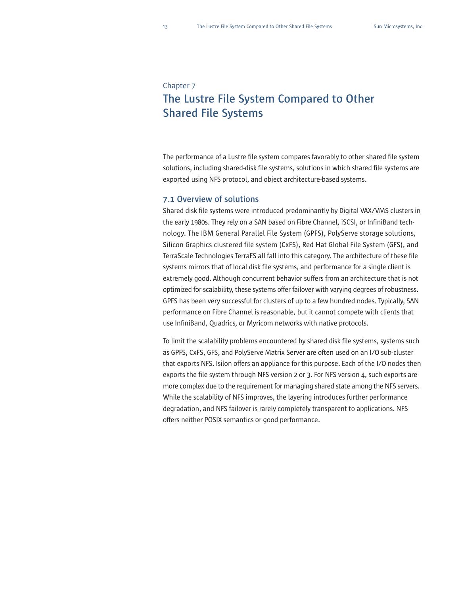#### Chapter 7

# **The Lustre File System Compared to Other Shared File Systems**

The performance of a Lustre file system compares favorably to other shared file system solutions, including shared-disk file systems, solutions in which shared file systems are exported using NFS protocol, and object architecture-based systems.

#### **7.1 Overview of solutions**

Shared disk file systems were introduced predominantly by Digital VAX/VMS clusters in the early 1980s. They rely on a SAN based on Fibre Channel, iSCSI, or InfiniBand technology. The IBM General Parallel File System (GPFS), PolyServe storage solutions, Silicon Graphics clustered file system (CxFS), Red Hat Global File System (GFS), and TerraScale Technologies TerraFS all fall into this category. The architecture of these file systems mirrors that of local disk file systems, and performance for a single client is extremely good. Although concurrent behavior suffers from an architecture that is not optimized for scalability, these systems offer failover with varying degrees of robustness. GPFS has been very successful for clusters of up to a few hundred nodes. Typically, SAN performance on Fibre Channel is reasonable, but it cannot compete with clients that use InfiniBand, Quadrics, or Myricom networks with native protocols.

To limit the scalability problems encountered by shared disk file systems, systems such as GPFS, CxFS, GFS, and PolyServe Matrix Server are often used on an I/O sub-cluster that exports NFS. Isilon offers an appliance for this purpose. Each of the I/O nodes then exports the file system through NFS version 2 or 3. For NFS version 4, such exports are more complex due to the requirement for managing shared state among the NFS servers. While the scalability of NFS improves, the layering introduces further performance degradation, and NFS failover is rarely completely transparent to applications. NFS offers neither POSIX semantics or good performance.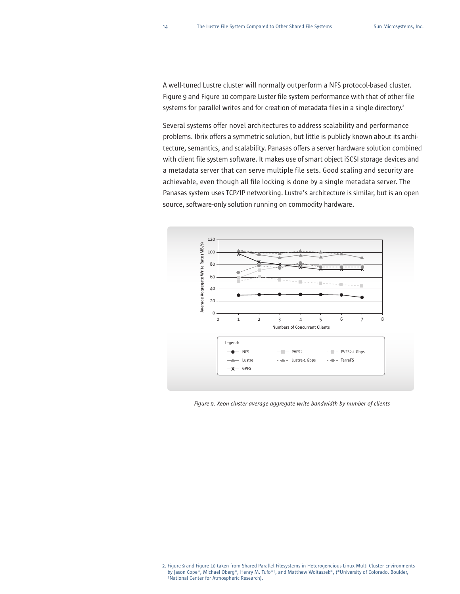A well-tuned Lustre cluster will normally outperform a NFS protocol-based cluster. Figure 9 and Figure 10 compare Luster file system performance with that of other file systems for parallel writes and for creation of metadata files in a single directory.<sup>2</sup>

Several systems offer novel architectures to address scalability and performance problems. Ibrix offers a symmetric solution, but little is publicly known about its architecture, semantics, and scalability. Panasas offers a server hardware solution combined with client file system software. It makes use of smart object iSCSI storage devices and a metadata server that can serve multiple file sets. Good scaling and security are achievable, even though all file locking is done by a single metadata server. The Panasas system uses TCP/IP networking. Lustre's architecture is similar, but is an open source, software-only solution running on commodity hardware.



*Figure 9. Xeon cluster average aggregate write bandwidth by number of clients*

<sup>2.</sup> Figure 9 and Figure 10 taken from Shared Parallel Filesystems in Heterogeneious Linux Multi-Cluster Environments by Jason Cope\*, Michael Oberg\*, Henry M. Tufo\*†, and Matthew Woitaszek\*, (\*University of Colorado, Boulder, †National Center for Atmospheric Research).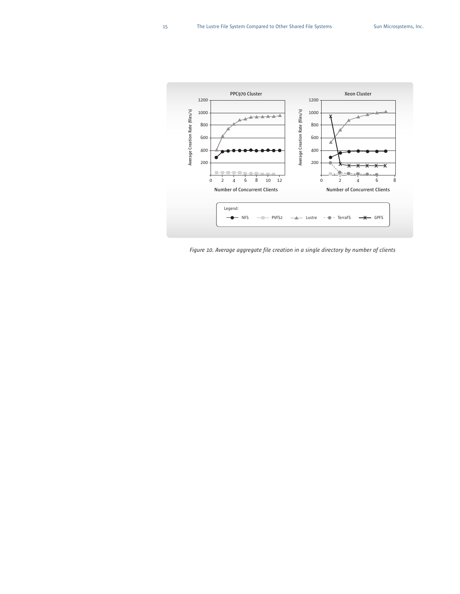

*Figure 10. Average aggregate file creation in a single directory by number of clients*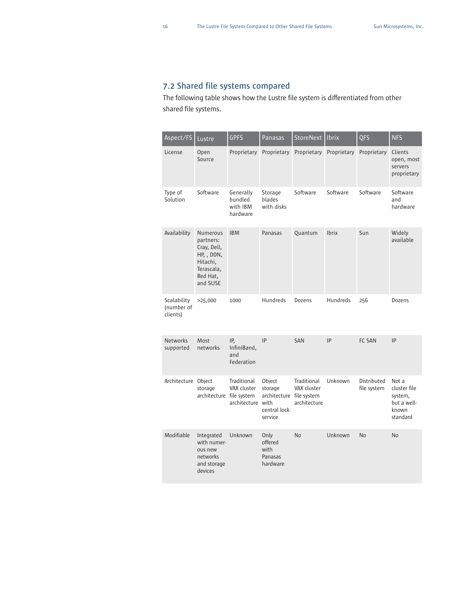#### **7.2 Shared file systems compared**

The following table shows how the Lustre file system is differentiated from other shared file systems.

| Aspect/FS                             | Lustre                                                                                               | <b>GPFS</b>                                     | Panasas                                                                  | StoreNext   Ibrix                          |              | <b>QFS</b>                 | <b>NFS</b>                                                           |
|---------------------------------------|------------------------------------------------------------------------------------------------------|-------------------------------------------------|--------------------------------------------------------------------------|--------------------------------------------|--------------|----------------------------|----------------------------------------------------------------------|
| License                               | Open<br>Source                                                                                       | Proprietary                                     | Proprietary                                                              | Proprietary                                | Proprietary  | Proprietary                | Clients<br>open, most<br>servers<br>proprietary                      |
| Type of<br>Solution                   | Software                                                                                             | Generally<br>bundled<br>with IBM<br>hardware    | Storage<br>blades<br>with disks                                          | Software                                   | Software     | Software                   | Software<br>and<br>hardware                                          |
| Availability                          | Numerous<br>partners:<br>Cray, Dell,<br>HP, , DDN,<br>Hitachi,<br>Terascala,<br>Red Hat,<br>and SUSE | <b>IBM</b>                                      | Panasas                                                                  | Quantum                                    | <b>Ibrix</b> | Sun                        | Widely<br>available                                                  |
| Scalability<br>(number of<br>clients) | >25,000                                                                                              | 1000                                            | Hundreds                                                                 | Dozens                                     | Hundreds     | 256                        | Dozens                                                               |
| <b>Networks</b><br>supported          | Most<br>networks                                                                                     | IP,<br>InfiniBand,<br>and<br>Federation         | IP                                                                       | <b>SAN</b>                                 | IP           | FC SAN                     | IP                                                                   |
| Architecture Object                   | storage<br>architecture file system                                                                  | Traditional<br>VAX cluster<br>architecture with | Object<br>storage<br>architecture file system<br>central lock<br>service | Traditional<br>VAX cluster<br>architecture | Unknown      | Distributed<br>file system | Not a<br>cluster file<br>system,<br>but a well-<br>known<br>standard |
| Modifiable                            | Integrated<br>with numer-<br>ous new<br>networks<br>and storage<br>devices                           | Unknown                                         | Only<br>offered<br>with<br>Panasas<br>hardware                           | <b>No</b>                                  | Unknown      | N <sub>o</sub>             | <b>No</b>                                                            |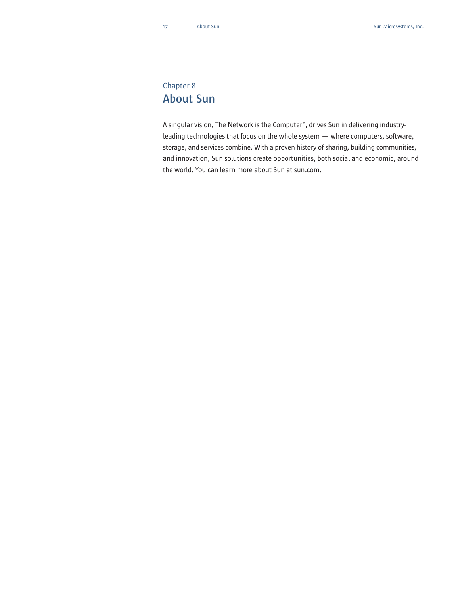### Chapter 8 **About Sun**

A singular vision, The Network is the Computer™, drives Sun in delivering industryleading technologies that focus on the whole system — where computers, software, storage, and services combine. With a proven history of sharing, building communities, and innovation, Sun solutions create opportunities, both social and economic, around the world. You can learn more about Sun at sun.com.